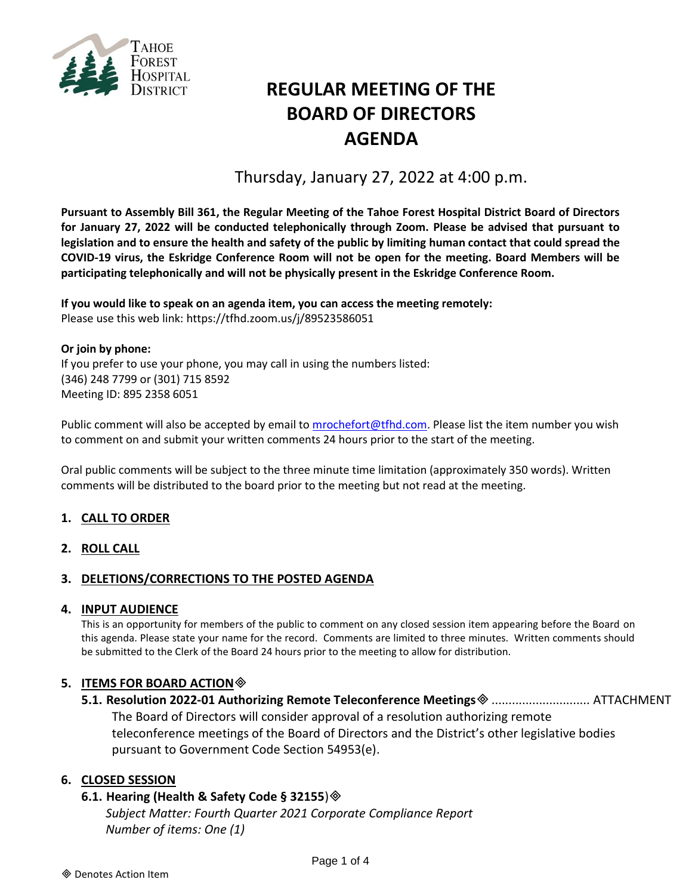

# **REGULAR MEETING OF THE BOARD OF DIRECTORS AGENDA**

Thursday, January 27, 2022 at 4:00 p.m.

**Pursuant to Assembly Bill 361, the Regular Meeting of the Tahoe Forest Hospital District Board of Directors for January 27, 2022 will be conducted telephonically through Zoom. Please be advised that pursuant to legislation and to ensure the health and safety of the public by limiting human contact that could spread the COVID-19 virus, the Eskridge Conference Room will not be open for the meeting. Board Members will be participating telephonically and will not be physically present in the Eskridge Conference Room.**

**If you would like to speak on an agenda item, you can access the meeting remotely:** Please use this web link: <https://tfhd.zoom.us/j/89523586051>

#### **Or join by phone:**

If you prefer to use your phone, you may call in using the numbers listed: (346) 248 7799 or (301) 715 8592 Meeting ID: 895 2358 6051

Public comment will also be accepted by email to [mrochefort@tfhd.com.](mailto:mrochefort@tfhd.com) Please list the item number you wish to comment on and submit your written comments 24 hours prior to the start of the meeting.

Oral public comments will be subject to the three minute time limitation (approximately 350 words). Written comments will be distributed to the board prior to the meeting but not read at the meeting.

# **1. CALL TO ORDER**

# **2. ROLL CALL**

# **3. DELETIONS/CORRECTIONS TO THE POSTED AGENDA**

#### **4. INPUT AUDIENCE**

This is an opportunity for members of the public to comment on any closed session item appearing before the Board on this agenda. Please state your name for the record. Comments are limited to three minutes. Written comments should be submitted to the Clerk of the Board 24 hours prior to the meeting to allow for distribution.

# **5. ITEMS FOR BOARD ACTION**

**5.1. Resolution 2022-01 Authorizing Remote Teleconference Meetings**............................. ATTACHMENT The Board of Directors will consider approval of a resolution authorizing remote teleconference meetings of the Board of Directors and the District's other legislative bodies pursuant to Government Code Section 54953(e).

# **6. CLOSED SESSION**

# **6.1. Hearing (Health & Safety Code § 32155**)

*Subject Matter: Fourth Quarter 2021 Corporate Compliance Report Number of items: One (1)*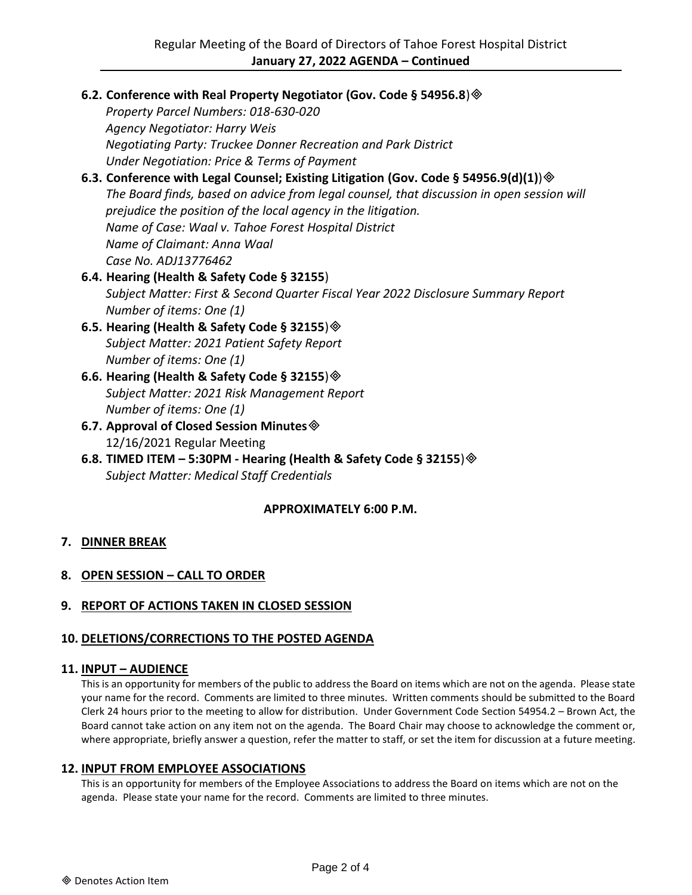**6.2. Conference with Real Property Negotiator (Gov. Code § 54956.8**)

*Property Parcel Numbers: 018-630-020 Agency Negotiator: Harry Weis Negotiating Party: Truckee Donner Recreation and Park District Under Negotiation: Price & Terms of Payment*

# **6.3. Conference with Legal Counsel; Existing Litigation (Gov. Code § 54956.9(d)(1)**) *The Board finds, based on advice from legal counsel, that discussion in open session will prejudice the position of the local agency in the litigation.*

*Name of Case: Waal v. Tahoe Forest Hospital District Name of Claimant: Anna Waal*

*Case No. ADJ13776462* **6.4. Hearing (Health & Safety Code § 32155**)

*Subject Matter: First & Second Quarter Fiscal Year 2022 Disclosure Summary Report Number of items: One (1)*

- **6.5. Hearing (Health & Safety Code § 32155**) *Subject Matter: 2021 Patient Safety Report Number of items: One (1)*
- **6.6. Hearing (Health & Safety Code § 32155**) *Subject Matter: 2021 Risk Management Report Number of items: One (1)*
- **6.7. Approval of Closed Session Minutes** 12/16/2021 Regular Meeting
- **6.8. TIMED ITEM – 5:30PM - Hearing (Health & Safety Code § 32155**) *Subject Matter: Medical Staff Credentials*

# **APPROXIMATELY 6:00 P.M.**

# **7. DINNER BREAK**

# **8. OPEN SESSION – CALL TO ORDER**

# **9. REPORT OF ACTIONS TAKEN IN CLOSED SESSION**

# **10. DELETIONS/CORRECTIONS TO THE POSTED AGENDA**

#### **11. INPUT – AUDIENCE**

This is an opportunity for members of the public to address the Board on items which are not on the agenda. Please state your name for the record. Comments are limited to three minutes. Written comments should be submitted to the Board Clerk 24 hours prior to the meeting to allow for distribution. Under Government Code Section 54954.2 – Brown Act, the Board cannot take action on any item not on the agenda. The Board Chair may choose to acknowledge the comment or, where appropriate, briefly answer a question, refer the matter to staff, or set the item for discussion at a future meeting.

#### **12. INPUT FROM EMPLOYEE ASSOCIATIONS**

This is an opportunity for members of the Employee Associations to address the Board on items which are not on the agenda. Please state your name for the record. Comments are limited to three minutes.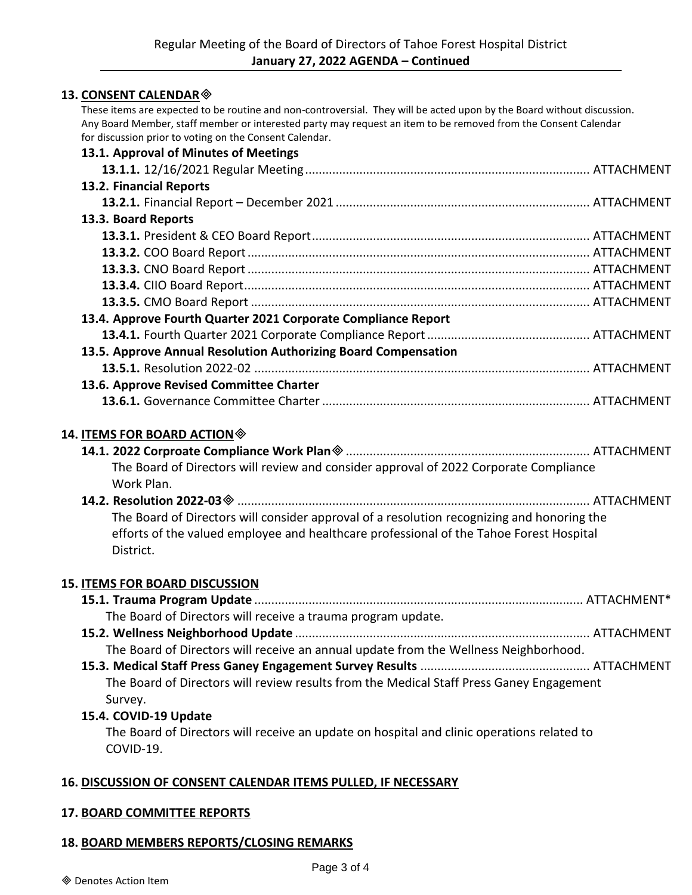# **13. CONSENT CALENDAR**

These items are expected to be routine and non-controversial. They will be acted upon by the Board without discussion. Any Board Member, staff member or interested party may request an item to be removed from the Consent Calendar for discussion prior to voting on the Consent Calendar.

# **13.1. Approval of Minutes of Meetings 13.1.1.** 12/16/2021 Regular Meeting.................................................................................... ATTACHMENT **13.2. Financial Reports 13.2.1.** Financial Report – December 2021 ........................................................................... ATTACHMENT **13.3. Board Reports 13.3.1.** President & CEO Board Report.................................................................................. ATTACHMENT **13.3.2.** COO Board Report..................................................................................................... ATTACHMENT **13.3.3.** CNO Board Report..................................................................................................... ATTACHMENT **13.3.4.** CIIO Board Report...................................................................................................... ATTACHMENT **13.3.5.** CMO Board Report .................................................................................................... ATTACHMENT **13.4. Approve Fourth Quarter 2021 Corporate Compliance Report 13.4.1.** Fourth Quarter 2021 Corporate Compliance Report................................................ ATTACHMENT **13.5. Approve Annual Resolution Authorizing Board Compensation 13.5.1.** Resolution 2022-02 ................................................................................................... ATTACHMENT

| 13.6. Approve Revised Committee Charter |  |
|-----------------------------------------|--|
|                                         |  |

#### **14. ITEMS FOR BOARD ACTION**

**14.1. 2022 Corproate Compliance Work Plan**........................................................................ ATTACHMENT The Board of Directors will review and consider approval of 2022 Corporate Compliance Work Plan.

**14.2. Resolution 2022-03**........................................................................................................ ATTACHMENT The Board of Directors will consider approval of a resolution recognizing and honoring the efforts of the valued employee and healthcare professional of the Tahoe Forest Hospital District.

# **15. ITEMS FOR BOARD DISCUSSION**

| The Board of Directors will receive a trauma program update.                             |  |
|------------------------------------------------------------------------------------------|--|
|                                                                                          |  |
| The Board of Directors will receive an annual update from the Wellness Neighborhood.     |  |
|                                                                                          |  |
| The Board of Directors will review results from the Medical Staff Press Ganey Engagement |  |
| Survey.                                                                                  |  |

# **15.4. COVID-19 Update**

The Board of Directors will receive an update on hospital and clinic operations related to COVID-19.

# **16. DISCUSSION OF CONSENT CALENDAR ITEMS PULLED, IF NECESSARY**

# **17. BOARD COMMITTEE REPORTS**

# **18. BOARD MEMBERS REPORTS/CLOSING REMARKS**